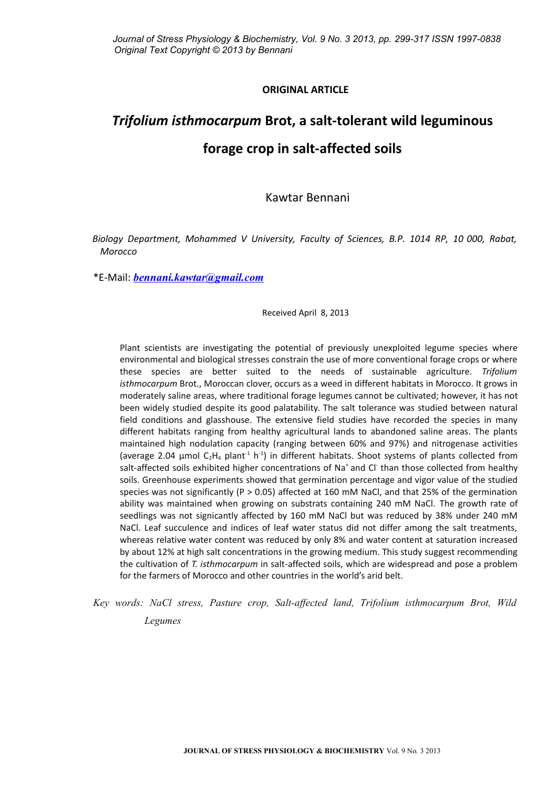# **ORIGINAL ARTICLE**

# *Trifolium isthmocarpum* **Brot, a salt-tolerant wild leguminous forage crop in salt-affected soils**

Kawtar Bennani

*Biology Department, Mohammed V University, Faculty of Sciences, B.P. 1014 RP, 10 000, Rabat, Morocco*

\*E-Mail: *[bennani.kawtar@gmail.com](mailto:bennani.kawtar@gmail.com)*

## Received April 8, 2013

Plant scientists are investigating the potential of previously unexploited legume species where environmental and biological stresses constrain the use of more conventional forage crops or where these species are better suited to the needs of sustainable agriculture. *Trifolium isthmocarpum* Brot., Moroccan clover, occurs as a weed in different habitats in Morocco. It grows in moderately saline areas, where traditional forage legumes cannot be cultivated; however, it has not been widely studied despite its good palatability. The salt tolerance was studied between natural field conditions and glasshouse. The extensive field studies have recorded the species in many different habitats ranging from healthy agricultural lands to abandoned saline areas. The plants maintained high nodulation capacity (ranging between 60% and 97%) and nitrogenase activities (average 2.04  $\mu$ mol C<sub>2</sub>H<sub>4</sub> plant<sup>-1</sup> h<sup>-1</sup>) in different habitats. Shoot systems of plants collected from salt-affected soils exhibited higher concentrations of Na<sup>+</sup> and Cl<sup>-</sup> than those collected from healthy soils. Greenhouse experiments showed that germination percentage and vigor value of the studied species was not significantly (P > 0.05) affected at 160 mM NaCl, and that 25% of the germination ability was maintained when growing on substrats containing 240 mM NaCl. The growth rate of seedlings was not signicantly affected by 160 mM NaCl but was reduced by 38% under 240 mM NaCl. Leaf succulence and indices of leaf water status did not differ among the salt treatments, whereas relative water content was reduced by only 8% and water content at saturation increased by about 12% at high salt concentrations in the growing medium. This study suggest recommending the cultivation of *T. isthmocarpum* in salt-affected soils, which are widespread and pose a problem for the farmers of Morocco and other countries in the world's arid belt.

*Key words: NaCl stress, Pasture crop, Salt-affected land, Trifolium isthmocarpum Brot, Wild Legumes*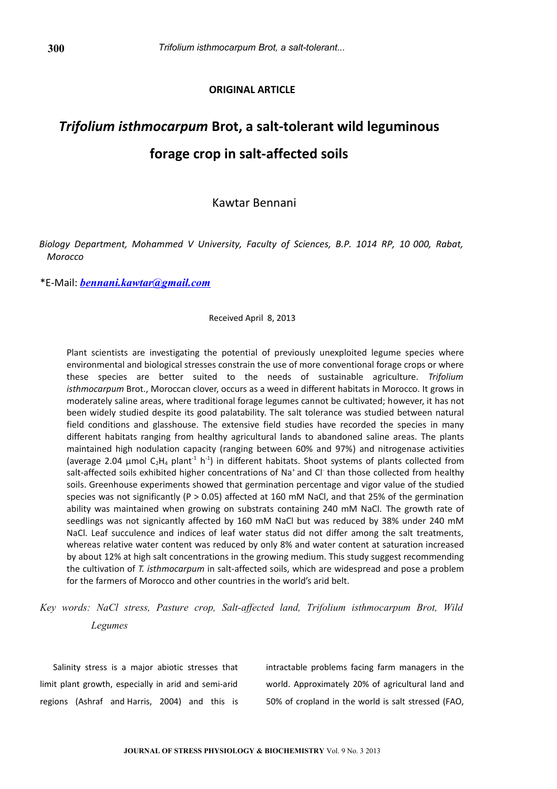# **ORIGINAL ARTICLE**

# *Trifolium isthmocarpum* **Brot, a salt-tolerant wild leguminous forage crop in salt-affected soils**

Kawtar Bennani

*Biology Department, Mohammed V University, Faculty of Sciences, B.P. 1014 RP, 10 000, Rabat, Morocco*

\*E-Mail: *[bennani.kawtar@gmail.com](mailto:bennani.kawtar@gmail.com)*

Received April 8, 2013

Plant scientists are investigating the potential of previously unexploited legume species where environmental and biological stresses constrain the use of more conventional forage crops or where these species are better suited to the needs of sustainable agriculture. *Trifolium isthmocarpum* Brot., Moroccan clover, occurs as a weed in different habitats in Morocco. It grows in moderately saline areas, where traditional forage legumes cannot be cultivated; however, it has not been widely studied despite its good palatability. The salt tolerance was studied between natural field conditions and glasshouse. The extensive field studies have recorded the species in many different habitats ranging from healthy agricultural lands to abandoned saline areas. The plants maintained high nodulation capacity (ranging between 60% and 97%) and nitrogenase activities (average 2.04  $\mu$ mol C<sub>2</sub>H<sub>4</sub> plant<sup>-1</sup> h<sup>-1</sup>) in different habitats. Shoot systems of plants collected from salt-affected soils exhibited higher concentrations of Na<sup>+</sup> and Cl<sup>-</sup> than those collected from healthy soils. Greenhouse experiments showed that germination percentage and vigor value of the studied species was not significantly (P > 0.05) affected at 160 mM NaCl, and that 25% of the germination ability was maintained when growing on substrats containing 240 mM NaCl. The growth rate of seedlings was not signicantly affected by 160 mM NaCl but was reduced by 38% under 240 mM NaCl. Leaf succulence and indices of leaf water status did not differ among the salt treatments, whereas relative water content was reduced by only 8% and water content at saturation increased by about 12% at high salt concentrations in the growing medium. This study suggest recommending the cultivation of *T. isthmocarpum* in salt-affected soils, which are widespread and pose a problem for the farmers of Morocco and other countries in the world's arid belt.

# *Key words: NaCl stress, Pasture crop, Salt-affected land, Trifolium isthmocarpum Brot, Wild Legumes*

Salinity stress is a major abiotic stresses that limit plant growth, especially in arid and semi-arid regions (Ashraf and Harris, 2004) and this is intractable problems facing farm managers in the world. Approximately 20% of agricultural land and 50% of cropland in the world is salt stressed (FAO,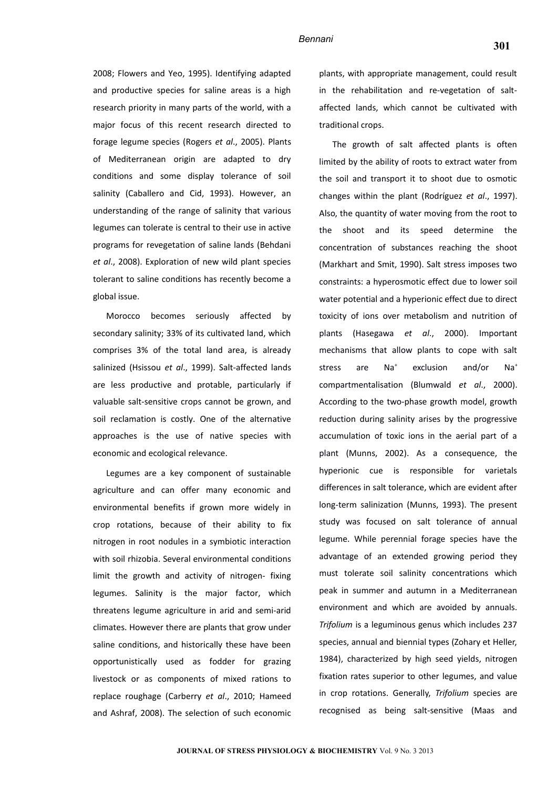2008; Flowers and Yeo, 1995). Identifying adapted and productive species for saline areas is a high research priority in many parts of the world, with a major focus of this recent research directed to forage legume species (Rogers *et al*., 2005). Plants of Mediterranean origin are adapted to dry conditions and some display tolerance of soil salinity (Caballero and Cid, 1993). However, an understanding of the range of salinity that various legumes can tolerate is central to their use in active programs for revegetation of saline lands (Behdani *et al*., 2008). Exploration of new wild plant species tolerant to saline conditions has recently become a global issue.

Morocco becomes seriously affected by secondary salinity; 33% of its cultivated land, which comprises 3% of the total land area, is already salinized (Hsissou *et al*., 1999). Salt-affected lands are less productive and protable, particularly if valuable salt-sensitive crops cannot be grown, and soil reclamation is costly. One of the alternative approaches is the use of native species with economic and ecological relevance.

Legumes are a key component of sustainable agriculture and can offer many economic and environmental benefits if grown more widely in crop rotations, because of their ability to fix nitrogen in root nodules in a symbiotic interaction with soil rhizobia. Several environmental conditions limit the growth and activity of nitrogen- fixing legumes. Salinity is the major factor, which threatens legume agriculture in arid and semi-arid climates. However there are plants that grow under saline conditions, and historically these have been opportunistically used as fodder for grazing livestock or as components of mixed rations to replace roughage (Carberry *et al*., 2010; Hameed and Ashraf, 2008). The selection of such economic plants, with appropriate management, could result in the rehabilitation and re-vegetation of saltaffected lands, which cannot be cultivated with traditional crops.

The growth of salt affected plants is often limited by the ability of roots to extract water from the soil and transport it to shoot due to osmotic changes within the plant (Rodríguez *et al*., 1997). Also, the quantity of water moving from the root to the shoot and its speed determine the concentration of substances reaching the shoot (Markhart and Smit, 1990). Salt stress imposes two constraints: a hyperosmotic effect due to lower soil water potential and a hyperionic effect due to direct toxicity of ions over metabolism and nutrition of plants (Hasegawa *et al*., 2000). Important mechanisms that allow plants to cope with salt stress are Na<sup>+</sup> exclusion and/or Na<sup>+</sup> compartmentalisation (Blumwald *et al*., 2000). According to the two-phase growth model, growth reduction during salinity arises by the progressive accumulation of toxic ions in the aerial part of a plant (Munns, 2002). As a consequence, the hyperionic cue is responsible for varietals differences in salt tolerance, which are evident after long-term salinization (Munns, 1993). The present study was focused on salt tolerance of annual legume. While perennial forage species have the advantage of an extended growing period they must tolerate soil salinity concentrations which peak in summer and autumn in a Mediterranean environment and which are avoided by annuals. *Trifolium* is a leguminous genus which includes 237 species, annual and biennial types (Zohary et Heller, 1984), characterized by high seed yields, nitrogen fixation rates superior to other legumes, and value in crop rotations. Generally, *Trifolium* species are recognised as being salt-sensitive (Maas and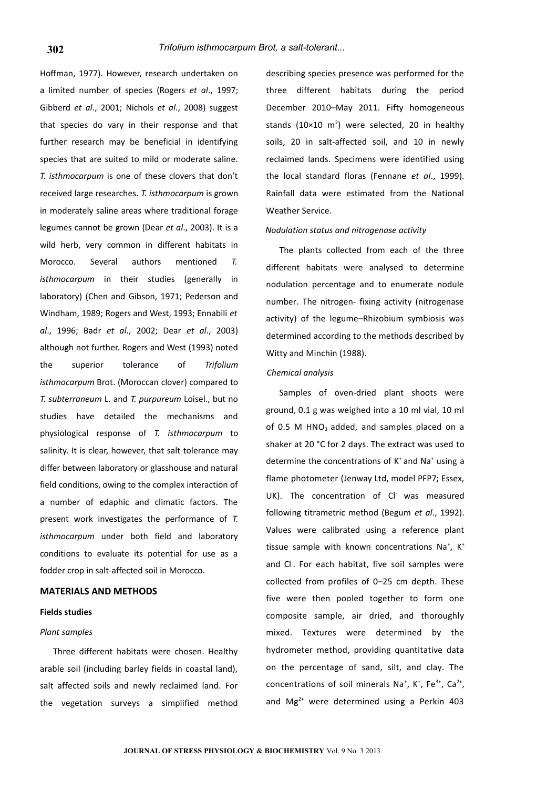Hoffman, 1977). However, research undertaken on a limited number of species (Rogers *et al*., 1997; Gibberd *et al*., 2001; Nichols *et al*., 2008) suggest that species do vary in their response and that further research may be beneficial in identifying species that are suited to mild or moderate saline. *T. isthmocarpum* is one of these clovers that don't received large researches. *T. isthmocarpum* is grown in moderately saline areas where traditional forage legumes cannot be grown (Dear *et al*., 2003). It is a wild herb, very common in different habitats in Morocco. Several authors mentioned *T. isthmocarpum* in their studies (generally in laboratory) (Chen and Gibson, 1971; Pederson and Windham, 1989; Rogers and West, 1993; Ennabili *et al*., 1996; Badr *et al*., 2002; Dear *et al*., 2003) although not further. Rogers and West (1993) noted the superior tolerance of *Trifolium isthmocarpum* Brot. (Moroccan clover) compared to *T. subterraneum* L. and *T. purpureum* Loisel., but no studies have detailed the mechanisms and physiological response of *T. isthmocarpum* to salinity. It is clear, however, that salt tolerance may differ between laboratory or glasshouse and natural field conditions, owing to the complex interaction of a number of edaphic and climatic factors. The present work investigates the performance of *T. isthmocarpum* under both field and laboratory conditions to evaluate its potential for use as a fodder crop in salt-affected soil in Morocco.

### **MATERIALS AND METHODS**

#### **Fields studies**

#### *Plant samples*

Three different habitats were chosen. Healthy arable soil (including barley fields in coastal land), salt affected soils and newly reclaimed land. For the vegetation surveys a simplified method

describing species presence was performed for the three different habitats during the period December 2010–May 2011. Fifty homogeneous stands (10×10 m<sup>2</sup>) were selected, 20 in healthy soils, 20 in salt-affected soil, and 10 in newly reclaimed lands. Specimens were identified using the local standard floras (Fennane *et al*., 1999). Rainfall data were estimated from the National Weather Service.

#### *Nodulation status and nitrogenase activity*

The plants collected from each of the three different habitats were analysed to determine nodulation percentage and to enumerate nodule number. The nitrogen- fixing activity (nitrogenase activity) of the legume–Rhizobium symbiosis was determined according to the methods described by Witty and Minchin (1988).

#### *Chemical analysis*

Samples of oven-dried plant shoots were ground, 0.1 g was weighed into a 10 ml vial, 10 ml of 0.5 M HNO<sub>3</sub> added, and samples placed on a shaker at 20 °C for 2 days. The extract was used to determine the concentrations of K<sup>+</sup> and Na<sup>+</sup> using a flame photometer (Jenway Ltd, model PFP7; Essex, UK). The concentration of Cl<sup>-</sup> was measured following titrametric method (Begum *et al*., 1992). Values were calibrated using a reference plant tissue sample with known concentrations Na<sup>+</sup>, K<sup>+</sup> and Cl<sup>-</sup>. For each habitat, five soil samples were collected from profiles of 0–25 cm depth. These five were then pooled together to form one composite sample, air dried, and thoroughly mixed. Textures were determined by the hydrometer method, providing quantitative data on the percentage of sand, silt, and clay. The concentrations of soil minerals Na<sup>+</sup>, K<sup>+</sup>, Fe<sup>3+</sup>, Ca<sup>2+</sup>, and  $Mg^{2+}$  were determined using a Perkin 403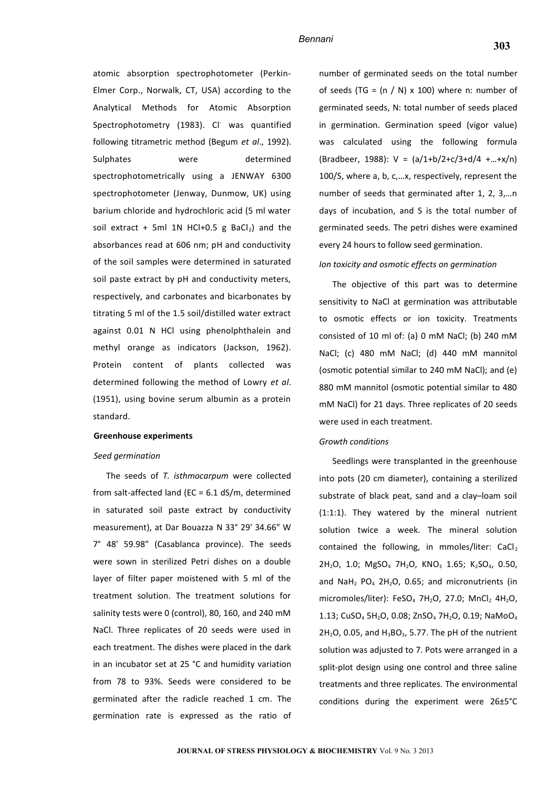atomic absorption spectrophotometer (Perkin-Elmer Corp., Norwalk, CT, USA) according to the Analytical Methods for Atomic Absorption Spectrophotometry (1983). Cl<sup>-</sup> was quantified following titrametric method (Begum *et al*., 1992). Sulphates were determined spectrophotometrically using a JENWAY 6300 spectrophotometer (Jenway, Dunmow, UK) using barium chloride and hydrochloric acid (5 ml water soil extract + 5ml 1N HCl+0.5 g BaCl<sub>2</sub>) and the absorbances read at 606 nm; pH and conductivity of the soil samples were determined in saturated soil paste extract by pH and conductivity meters, respectively, and carbonates and bicarbonates by titrating 5 ml of the 1.5 soil/distilled water extract against 0.01 N HCl using phenolphthalein and methyl orange as indicators (Jackson, 1962). Protein content of plants collected was determined following the method of Lowry *et al*. (1951), using bovine serum albumin as a protein standard.

#### **Greenhouse experiments**

#### *Seed germination*

The seeds of *T. isthmocarpum* were collected from salt-affected land (EC = 6.1 dS/m, determined in saturated soil paste extract by conductivity measurement), at Dar Bouazza N 33° 29' 34.66" W 7° 48' 59.98" (Casablanca province). The seeds were sown in sterilized Petri dishes on a double layer of filter paper moistened with 5 ml of the treatment solution. The treatment solutions for salinity tests were 0 (control), 80, 160, and 240 mM NaCl. Three replicates of 20 seeds were used in each treatment. The dishes were placed in the dark in an incubator set at 25 °C and humidity variation from 78 to 93%. Seeds were considered to be germinated after the radicle reached 1 cm. The germination rate is expressed as the ratio of number of germinated seeds on the total number of seeds (TG =  $(n / N) \times 100$ ) where n: number of germinated seeds, N: total number of seeds placed in germination. Germination speed (vigor value) was calculated using the following formula (Bradbeer, 1988):  $V = (a/1+b/2+c/3+d/4 + ...+x/n)$ 100/S, where a, b, c,…x, respectively, represent the number of seeds that germinated after 1, 2, 3,…n days of incubation, and S is the total number of germinated seeds. The petri dishes were examined every 24 hours to follow seed germination.

#### *Ion toxicity and osmotic effects on germination*

The objective of this part was to determine sensitivity to NaCl at germination was attributable to osmotic effects or ion toxicity. Treatments consisted of 10 ml of: (a) 0 mM NaCl; (b) 240 mM NaCl; (c) 480 mM NaCl; (d) 440 mM mannitol (osmotic potential similar to 240 mM NaCl); and (e) 880 mM mannitol (osmotic potential similar to 480 mM NaCl) for 21 days. Three replicates of 20 seeds were used in each treatment.

#### *Growth conditions*

Seedlings were transplanted in the greenhouse into pots (20 cm diameter), containing a sterilized substrate of black peat, sand and a clay–loam soil (1:1:1). They watered by the mineral nutrient solution twice a week. The mineral solution contained the following, in mmoles/liter:  $CaCl<sub>2</sub>$ 2H<sub>2</sub>O, 1.0; MgSO<sub>4</sub> 7H<sub>2</sub>O, KNO<sub>3</sub> 1.65; K<sub>2</sub>SO<sub>4</sub>, 0.50, and NaH<sub>2</sub> PO<sub>4</sub> 2H<sub>2</sub>O, 0.65; and micronutrients (in micromoles/liter): FeSO<sub>4</sub> 7H<sub>2</sub>O, 27.0; MnCl<sub>2</sub> 4H<sub>2</sub>O, 1.13; CuSO<sub>4</sub> 5H<sub>2</sub>O, 0.08; ZnSO<sub>4</sub> 7H<sub>2</sub>O, 0.19; NaMoO<sub>4</sub>  $2H_2O$ , 0.05, and  $H_3BO_3$ , 5.77. The pH of the nutrient solution was adjusted to 7. Pots were arranged in a split-plot design using one control and three saline treatments and three replicates. The environmental conditions during the experiment were 26±5°C

**303**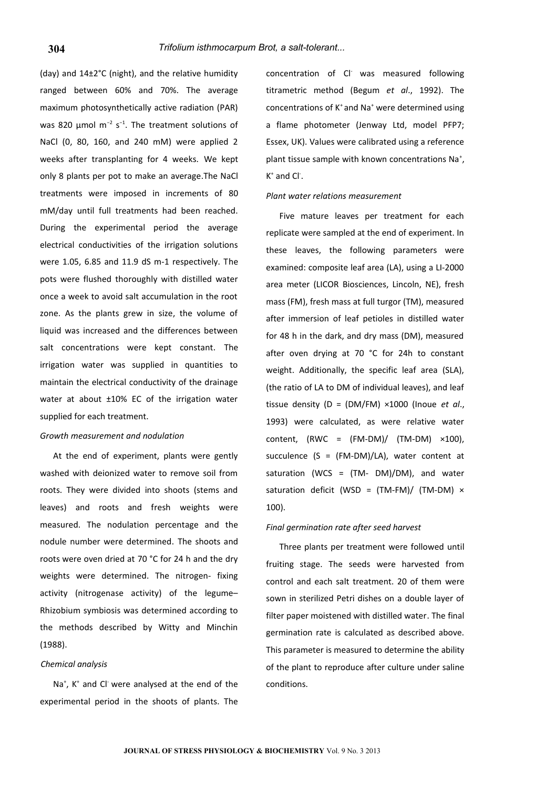(day) and 14±2°C (night), and the relative humidity ranged between 60% and 70%. The average maximum photosynthetically active radiation (PAR) was 820 µmol m<sup>-2</sup> s<sup>-1</sup>. The treatment solutions of NaCl (0, 80, 160, and 240 mM) were applied 2 weeks after transplanting for 4 weeks. We kept only 8 plants per pot to make an average.The NaCl treatments were imposed in increments of 80 mM/day until full treatments had been reached. During the experimental period the average electrical conductivities of the irrigation solutions were 1.05, 6.85 and 11.9 dS m-1 respectively. The pots were flushed thoroughly with distilled water once a week to avoid salt accumulation in the root zone. As the plants grew in size, the volume of liquid was increased and the differences between salt concentrations were kept constant. The irrigation water was supplied in quantities to maintain the electrical conductivity of the drainage water at about ±10% EC of the irrigation water supplied for each treatment.

#### *Growth measurement and nodulation*

At the end of experiment, plants were gently washed with deionized water to remove soil from roots. They were divided into shoots (stems and leaves) and roots and fresh weights were measured. The nodulation percentage and the nodule number were determined. The shoots and roots were oven dried at 70 °C for 24 h and the dry weights were determined. The nitrogen- fixing activity (nitrogenase activity) of the legume– Rhizobium symbiosis was determined according to the methods described by Witty and Minchin (1988).

#### *Chemical analysis*

Na<sup>+</sup>, K<sup>+</sup> and Cl<sup>-</sup> were analysed at the end of the experimental period in the shoots of plants. The

concentration of Cl- was measured following titrametric method (Begum *et al*., 1992). The concentrations of K<sup>+</sup> and Na<sup>+</sup> were determined using a flame photometer (Jenway Ltd, model PFP7; Essex, UK). Values were calibrated using a reference plant tissue sample with known concentrations Na<sup>+</sup>,  $K^*$  and  $Cl^-.$ 

#### *Plant water relations measurement*

Five mature leaves per treatment for each replicate were sampled at the end of experiment. In these leaves, the following parameters were examined: composite leaf area (LA), using a LI-2000 area meter (LICOR Biosciences, Lincoln, NE), fresh mass (FM), fresh mass at full turgor (TM), measured after immersion of leaf petioles in distilled water for 48 h in the dark, and dry mass (DM), measured after oven drying at 70 °C for 24h to constant weight. Additionally, the specific leaf area (SLA), (the ratio of LA to DM of individual leaves), and leaf tissue density (D = (DM/FM) ×1000 (Inoue *et al*., 1993) were calculated, as were relative water content,  $(RWC = (FM-DM)/(TM-DM) \times 100)$ , succulence (S = (FM-DM)/LA), water content at saturation (WCS =  $(TM- DM)/DM$ ), and water saturation deficit (WSD =  $(TM-FM) / (TM-DM) \times$ 100).

#### *Final germination rate after seed harvest*

Three plants per treatment were followed until fruiting stage. The seeds were harvested from control and each salt treatment. 20 of them were sown in sterilized Petri dishes on a double layer of filter paper moistened with distilled water. The final germination rate is calculated as described above. This parameter is measured to determine the ability of the plant to reproduce after culture under saline conditions.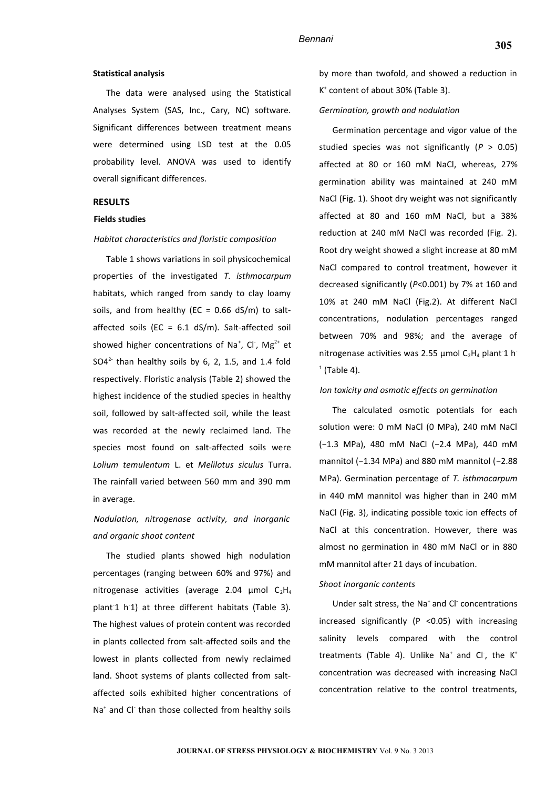#### **Statistical analysis**

The data were analysed using the Statistical Analyses System (SAS, Inc., Cary, NC) software. Significant differences between treatment means were determined using LSD test at the 0.05 probability level. ANOVA was used to identify overall significant differences.

### **RESULTS**

#### **Fields studies**

#### *Habitat characteristics and floristic composition*

Table 1 shows variations in soil physicochemical properties of the investigated *T. isthmocarpum* habitats, which ranged from sandy to clay loamy soils, and from healthy (EC =  $0.66$  dS/m) to saltaffected soils (EC =  $6.1$  dS/m). Salt-affected soil showed higher concentrations of Na<sup>+</sup>, Cl<sup>-</sup>, Mg<sup>2+</sup> et  $SO4<sup>2</sup>$  than healthy soils by 6, 2, 1.5, and 1.4 fold respectively. Floristic analysis (Table 2) showed the highest incidence of the studied species in healthy soil, followed by salt-affected soil, while the least was recorded at the newly reclaimed land. The species most found on salt-affected soils were *Lolium temulentum* L. et *Melilotus siculus* Turra. The rainfall varied between 560 mm and 390 mm in average.

# *Nodulation, nitrogenase activity, and inorganic and organic shoot content*

The studied plants showed high nodulation percentages (ranging between 60% and 97%) and nitrogenase activities (average 2.04  $\mu$ mol C<sub>2</sub>H<sub>4</sub> plant-1 h-1) at three different habitats (Table 3). The highest values of protein content was recorded in plants collected from salt-affected soils and the lowest in plants collected from newly reclaimed land. Shoot systems of plants collected from saltaffected soils exhibited higher concentrations of Na<sup>+</sup> and Cl<sup>-</sup> than those collected from healthy soils

by more than twofold, and showed a reduction in K + content of about 30% (Table 3).

#### *Germination, growth and nodulation*

Germination percentage and vigor value of the studied species was not significantly (*P* > 0.05) affected at 80 or 160 mM NaCl, whereas, 27% germination ability was maintained at 240 mM NaCl (Fig. 1). Shoot dry weight was not significantly affected at 80 and 160 mM NaCl, but a 38% reduction at 240 mM NaCl was recorded (Fig. 2). Root dry weight showed a slight increase at 80 mM NaCl compared to control treatment, however it decreased significantly (*P*<0.001) by 7% at 160 and 10% at 240 mM NaCl (Fig.2). At different NaCl concentrations, nodulation percentages ranged between 70% and 98%; and the average of nitrogenase activities was 2.55  $\mu$ mol C<sub>2</sub>H<sub>4</sub> plant<sup>-1</sup> h<sup>-</sup>  $<sup>1</sup>$  (Table 4).</sup>

#### *Ion toxicity and osmotic effects on germination*

The calculated osmotic potentials for each solution were: 0 mM NaCl (0 MPa), 240 mM NaCl (−1.3 MPa), 480 mM NaCl (−2.4 MPa), 440 mM mannitol (−1.34 MPa) and 880 mM mannitol (−2.88 MPa). Germination percentage of *T. isthmocarpum* in 440 mM mannitol was higher than in 240 mM NaCl (Fig. 3), indicating possible toxic ion effects of NaCl at this concentration. However, there was almost no germination in 480 mM NaCl or in 880 mM mannitol after 21 days of incubation.

#### *Shoot inorganic contents*

Under salt stress, the Na<sup>+</sup> and Cl<sup>-</sup> concentrations increased significantly ( $P$  <0.05) with increasing salinity levels compared with the control treatments (Table 4). Unlike Na<sup>+</sup> and Cl<sup>-</sup>, the K<sup>+</sup> concentration was decreased with increasing NaCl concentration relative to the control treatments,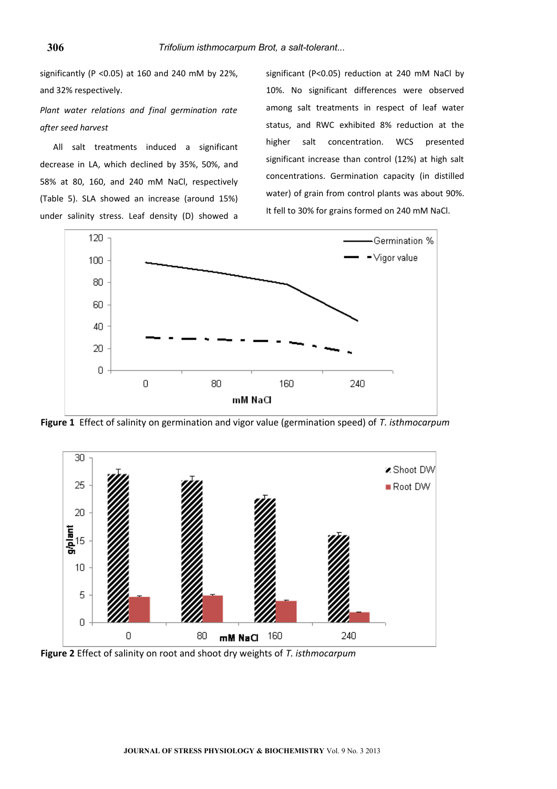significantly (P <0.05) at 160 and 240 mM by 22%, and 32% respectively.

*Plant water relations and final germination rate after seed harvest*

All salt treatments induced a significant decrease in LA, which declined by 35%, 50%, and 58% at 80, 160, and 240 mM NaCl, respectively (Table 5). SLA showed an increase (around 15%) under salinity stress. Leaf density (D) showed a

significant (P<0.05) reduction at 240 mM NaCl by 10%. No significant differences were observed among salt treatments in respect of leaf water status, and RWC exhibited 8% reduction at the higher salt concentration. WCS presented significant increase than control (12%) at high salt concentrations. Germination capacity (in distilled water) of grain from control plants was about 90%. It fell to 30% for grains formed on 240 mM NaCl.



**Figure 1** Effect of salinity on germination and vigor value (germination speed) of *T. isthmocarpum*



**Figure 2** Effect of salinity on root and shoot dry weights of *T. isthmocarpum*

**306**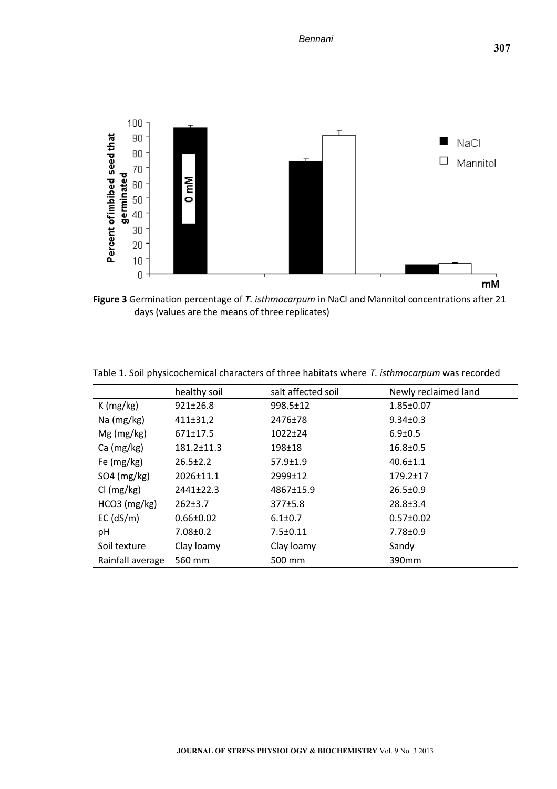

**Figure 3** Germination percentage of *T. isthmocarpum* in NaCl and Mannitol concentrations after 21 days (values are the means of three replicates)

|                  | healthy soil    | salt affected soil | Newly reclaimed land |
|------------------|-----------------|--------------------|----------------------|
| K(mg/kg)         | $921 \pm 26.8$  | $998.5 \pm 12$     | $1.85 \pm 0.07$      |
| Na (mg/kg)       | 411±31,2        | 2476±78            | $9.34 \pm 0.3$       |
| $Mg$ (mg/kg)     | $671 \pm 17.5$  | $1022 + 24$        | $6.9 \pm 0.5$        |
| Ca (mg/kg)       | 181.2±11.3      | $198 + 18$         | $16.8 \pm 0.5$       |
| Fe $(mg/kg)$     | $26.5 \pm 2.2$  | $57.9 \pm 1.9$     | $40.6 \pm 1.1$       |
| $SO4$ (mg/kg)    | $2026 \pm 11.1$ | 2999±12            | $179.2 \pm 17$       |
| Cl (mg/kg)       | $2441+22.3$     | 4867±15.9          | $26.5 \pm 0.9$       |
| $HCO3$ (mg/kg)   | $262 \pm 3.7$   | 377±5.8            | $28.8 \pm 3.4$       |
| $EC$ (dS/m)      | $0.66 \pm 0.02$ | $6.1 \pm 0.7$      | $0.57 \pm 0.02$      |
| рH               | $7.08 \pm 0.2$  | $7.5 \pm 0.11$     | $7.78 \pm 0.9$       |
| Soil texture     | Clay loamy      | Clay loamy         | Sandy                |
| Rainfall average | 560 mm          | 500 mm             | 390 <sub>mm</sub>    |

Table 1. Soil physicochemical characters of three habitats where *T. isthmocarpum* was recorded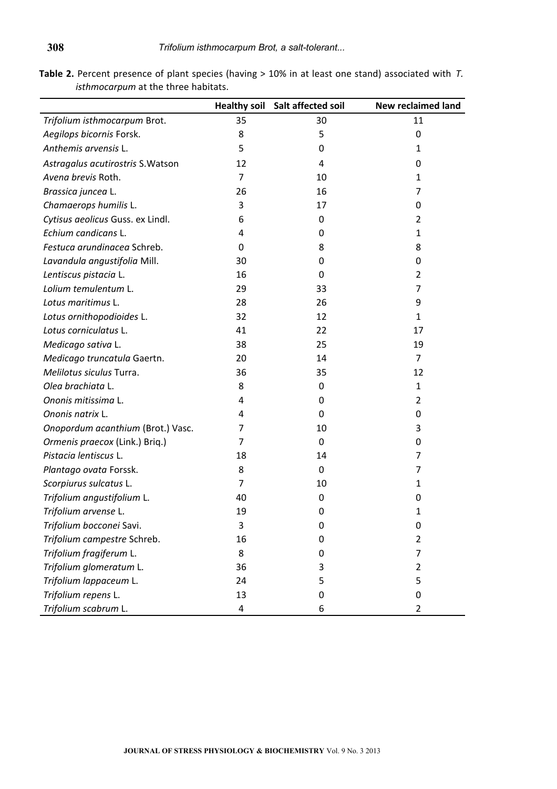**Table 2.** Percent presence of plant species (having > 10% in at least one stand) associated with *T. isthmocarpum* at the three habitats.

|                                   |    | Healthy soil Salt affected soil | <b>New reclaimed land</b> |
|-----------------------------------|----|---------------------------------|---------------------------|
| Trifolium isthmocarpum Brot.      | 35 | 30                              | 11                        |
| Aegilops bicornis Forsk.          | 8  | 5                               | $\mathbf 0$               |
| Anthemis arvensis L.              | 5  | 0                               | 1                         |
| Astragalus acutirostris S. Watson | 12 | 4                               | 0                         |
| Avena brevis Roth.                | 7  | 10                              | 1                         |
| Brassica juncea L.                | 26 | 16                              | 7                         |
| Chamaerops humilis L.             | 3  | 17                              | 0                         |
| Cytisus aeolicus Guss. ex Lindl.  | 6  | 0                               | 2                         |
| Echium candicans L.               | 4  | 0                               | 1                         |
| Festuca arundinacea Schreb.       | 0  | 8                               | 8                         |
| Lavandula angustifolia Mill.      | 30 | 0                               | 0                         |
| Lentiscus pistacia L.             | 16 | $\Omega$                        | 2                         |
| Lolium temulentum L.              | 29 | 33                              | 7                         |
| Lotus maritimus L.                | 28 | 26                              | 9                         |
| Lotus ornithopodioides L.         | 32 | 12                              | 1                         |
| Lotus corniculatus L.             | 41 | 22                              | 17                        |
| Medicago sativa L.                | 38 | 25                              | 19                        |
| Medicago truncatula Gaertn.       | 20 | 14                              | 7                         |
| Melilotus siculus Turra.          | 36 | 35                              | 12                        |
| Olea brachiata L.                 | 8  | 0                               | 1                         |
| Ononis mitissima L.               | 4  | 0                               | $\overline{2}$            |
| Ononis natrix L.                  | 4  | $\Omega$                        | 0                         |
| Onopordum acanthium (Brot.) Vasc. | 7  | 10                              | 3                         |
| Ormenis praecox (Link.) Briq.)    | 7  | 0                               | 0                         |
| Pistacia lentiscus L.             | 18 | 14                              | 7                         |
| Plantago ovata Forssk.            | 8  | 0                               | 7                         |
| Scorpiurus sulcatus L.            | 7  | 10                              | 1                         |
| Trifolium angustifolium L.        | 40 | 0                               | 0                         |
| Trifolium arvense L.              | 19 | 0                               | 1                         |
| Trifolium bocconei Savi.          | 3  | 0                               | 0                         |
| Trifolium campestre Schreb.       | 16 | 0                               | $\overline{2}$            |
| Trifolium fragiferum L.           | 8  | 0                               | 7                         |
| Trifolium glomeratum L.           | 36 | 3                               | $\overline{2}$            |
| Trifolium lappaceum L.            | 24 | 5                               | 5                         |
| Trifolium repens L.               | 13 | 0                               | 0                         |
| Trifolium scabrum L.              | 4  | 6                               | $\overline{2}$            |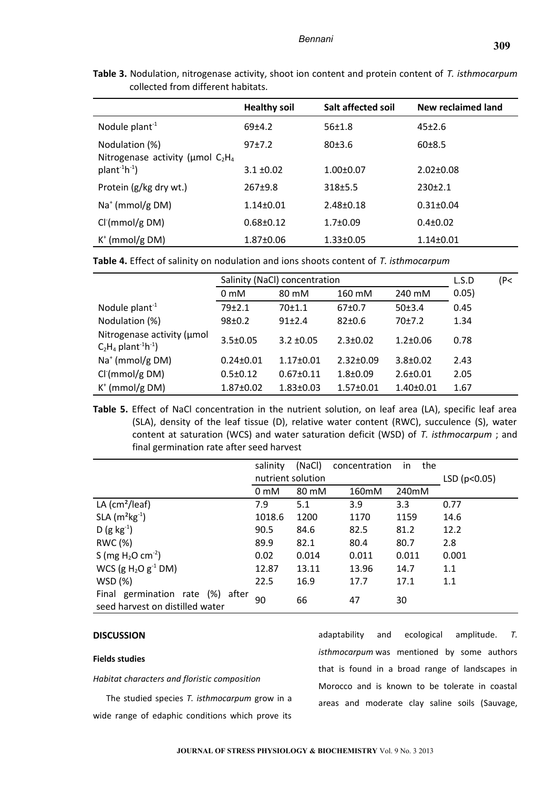| CONCULUM ITONI UNITER CHE HUDILULO.                                              |                     |                    |                    |  |  |  |
|----------------------------------------------------------------------------------|---------------------|--------------------|--------------------|--|--|--|
|                                                                                  | <b>Healthy soil</b> | Salt affected soil | New reclaimed land |  |  |  |
| Nodule plant $-1$                                                                | $69+4.2$            | $56 + 1.8$         | $45+2.6$           |  |  |  |
| Nodulation (%)<br>Nitrogenase activity ( $\mu$ mol C <sub>2</sub> H <sub>4</sub> | 97±7.2              | 80±3.6             | 60±8.5             |  |  |  |
| $plant^{-1}h^{-1}$ )                                                             | $3.1 \pm 0.02$      | $1.00 \pm 0.07$    | $2.02 \pm 0.08$    |  |  |  |
| Protein (g/kg dry wt.)                                                           | $267+9.8$           | 318±5.5            | $230 \pm 2.1$      |  |  |  |
| $Na+$ (mmol/g DM)                                                                | $1.14 \pm 0.01$     | $2.48 \pm 0.18$    | $0.31 \pm 0.04$    |  |  |  |
| $Cl+(mmol/g DM)$                                                                 | $0.68 \pm 0.12$     | $1.7 \pm 0.09$     | $0.4 \pm 0.02$     |  |  |  |
| $K^+$ (mmol/g DM)                                                                | $1.87 \pm 0.06$     | $1.33 \pm 0.05$    | $1.14 \pm 0.01$    |  |  |  |

**Table 3.** Nodulation, nitrogenase activity, shoot ion content and protein content of *T. isthmocarpum* collected from different habitats.

**Table 4.** Effect of salinity on nodulation and ions shoots content of *T. isthmocarpum*

|                                                                              | Salinity (NaCl) concentration | L.S.D           | (P<             |                 |       |  |
|------------------------------------------------------------------------------|-------------------------------|-----------------|-----------------|-----------------|-------|--|
|                                                                              | 0 <sub>m</sub> M              | 80 mM           | 160 mM          | 240 mM          | 0.05) |  |
| Nodule plant $-1$                                                            | 79±2.1                        | 70±1.1          | $67+0.7$        | 50±3.4          | 0.45  |  |
| Nodulation (%)                                                               | 98±0.2                        | 91±2.4          | $82+0.6$        | 70±7.2          | 1.34  |  |
| Nitrogenase activity (umol<br>$C_2H_4$ plant <sup>-1</sup> h <sup>-1</sup> ) | $3.5 \pm 0.05$                | $3.2 \pm 0.05$  | $2.3 \pm 0.02$  | $1.2 \pm 0.06$  | 0.78  |  |
| $Na+$ (mmol/g DM)                                                            | $0.24 \pm 0.01$               | $1.17 \pm 0.01$ | $2.32 \pm 0.09$ | $3.8 \pm 0.02$  | 2.43  |  |
| Cl <sub>1</sub> (mmol/g DM)                                                  | $0.5 \pm 0.12$                | $0.67 \pm 0.11$ | $1.8 \pm 0.09$  | $2.6 \pm 0.01$  | 2.05  |  |
| $K^+$ (mmol/g DM)                                                            | $1.87 \pm 0.02$               | $1.83 \pm 0.03$ | $1.57 \pm 0.01$ | $1.40 \pm 0.01$ | 1.67  |  |

**Table 5.** Effect of NaCl concentration in the nutrient solution, on leaf area (LA), specific leaf area (SLA), density of the leaf tissue (D), relative water content (RWC), succulence (S), water content at saturation (WCS) and water saturation deficit (WSD) of *T. isthmocarpum* ; and final germination rate after seed harvest

|                                                                     | salinity          | (NaCl) | concentration | the<br>in.   |       |
|---------------------------------------------------------------------|-------------------|--------|---------------|--------------|-------|
|                                                                     | nutrient solution |        |               | LSD (p<0.05) |       |
|                                                                     | 0 <sub>m</sub> M  | 80 mM  | 160mM         | 240mM        |       |
| LA $\text{(cm}^2\text{/leaf)}$                                      | 7.9               | 5.1    | 3.9           | 3.3          | 0.77  |
| $SLA$ (m <sup>2</sup> kg <sup>-1</sup> )                            | 1018.6            | 1200   | 1170          | 1159         | 14.6  |
| $D (g kg^{-1})$                                                     | 90.5              | 84.6   | 82.5          | 81.2         | 12.2  |
| RWC (%)                                                             | 89.9              | 82.1   | 80.4          | 80.7         | 2.8   |
| S (mg $H_2O$ cm <sup>-2</sup> )                                     | 0.02              | 0.014  | 0.011         | 0.011        | 0.001 |
| WCS (g $H_2O$ g <sup>-1</sup> DM)                                   | 12.87             | 13.11  | 13.96         | 14.7         | 1.1   |
| WSD(%)                                                              | 22.5              | 16.9   | 17.7          | 17.1         | 1.1   |
| Final germination rate (%) after<br>seed harvest on distilled water | 90                | 66     | 47            | 30           |       |

## **DISCUSSION**

#### **Fields studies**

*Habitat characters and floristic composition*

The studied species *T. isthmocarpum* grow in a wide range of edaphic conditions which prove its

adaptability and ecological amplitude. *T. isthmocarpum* was mentioned by some authors that is found in a broad range of landscapes in Morocco and is known to be tolerate in coastal areas and moderate clay saline soils (Sauvage,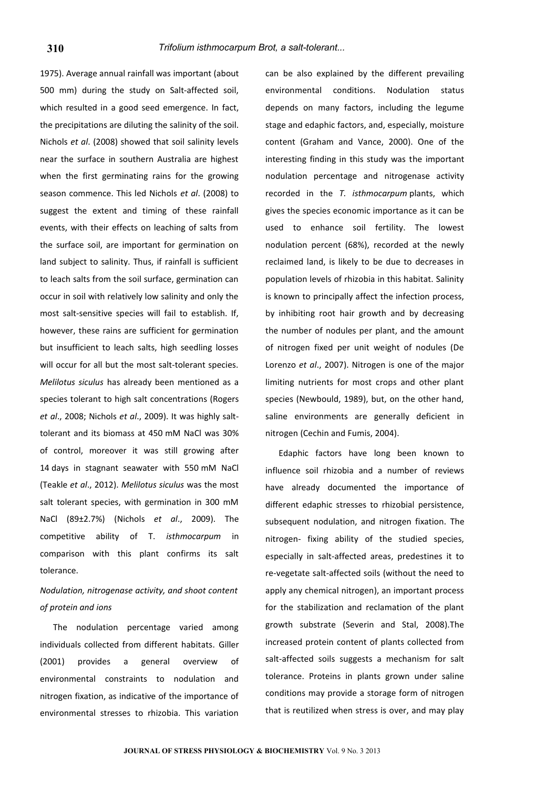1975). Average annual rainfall was important (about 500 mm) during the study on Salt-affected soil, which resulted in a good seed emergence. In fact, the precipitations are diluting the salinity of the soil. Nichols *et al*. (2008) showed that soil salinity levels near the surface in southern Australia are highest when the first germinating rains for the growing season commence. This led Nichols *et al*. (2008) to suggest the extent and timing of these rainfall events, with their effects on leaching of salts from the surface soil, are important for germination on land subject to salinity. Thus, if rainfall is sufficient to leach salts from the soil surface, germination can occur in soil with relatively low salinity and only the most salt-sensitive species will fail to establish. If, however, these rains are sufficient for germination but insufficient to leach salts, high seedling losses will occur for all but the most salt-tolerant species. *Melilotus siculus* has already been mentioned as a species tolerant to high salt concentrations (Rogers *et al*., 2008; Nichols *et al*., 2009). It was highly salttolerant and its biomass at 450 mM NaCl was 30% of control, moreover it was still growing after 14 days in stagnant seawater with 550 mM NaCl (Teakle *et al*., 2012). *Melilotus siculus* was the most salt tolerant species, with germination in 300 mM NaCl (89±2.7%) (Nichols *et al*., 2009). The competitive ability of T. *isthmocarpum* in comparison with this plant confirms its salt tolerance.

*Nodulation, nitrogenase activity, and shoot content of protein and ions*

The nodulation percentage varied among individuals collected from different habitats. Giller (2001) provides a general overview of environmental constraints to nodulation and nitrogen fixation, as indicative of the importance of environmental stresses to rhizobia. This variation can be also explained by the different prevailing environmental conditions. Nodulation status depends on many factors, including the legume stage and edaphic factors, and, especially, moisture content (Graham and Vance, 2000). One of the interesting finding in this study was the important nodulation percentage and nitrogenase activity recorded in the *T. isthmocarpum* plants, which gives the species economic importance as it can be used to enhance soil fertility. The lowest nodulation percent (68%), recorded at the newly reclaimed land, is likely to be due to decreases in population levels of rhizobia in this habitat. Salinity is known to principally affect the infection process, by inhibiting root hair growth and by decreasing the number of nodules per plant, and the amount of nitrogen fixed per unit weight of nodules (De Lorenzo *et al*., 2007). Nitrogen is one of the major limiting nutrients for most crops and other plant species (Newbould, 1989), but, on the other hand, saline environments are generally deficient in nitrogen (Cechin and Fumis, 2004).

Edaphic factors have long been known to influence soil rhizobia and a number of reviews have already documented the importance of different edaphic stresses to rhizobial persistence, subsequent nodulation, and nitrogen fixation. The nitrogen- fixing ability of the studied species, especially in salt-affected areas, predestines it to re-vegetate salt-affected soils (without the need to apply any chemical nitrogen), an important process for the stabilization and reclamation of the plant growth substrate (Severin and Stal, 2008).The increased protein content of plants collected from salt-affected soils suggests a mechanism for salt tolerance. Proteins in plants grown under saline conditions may provide a storage form of nitrogen that is reutilized when stress is over, and may play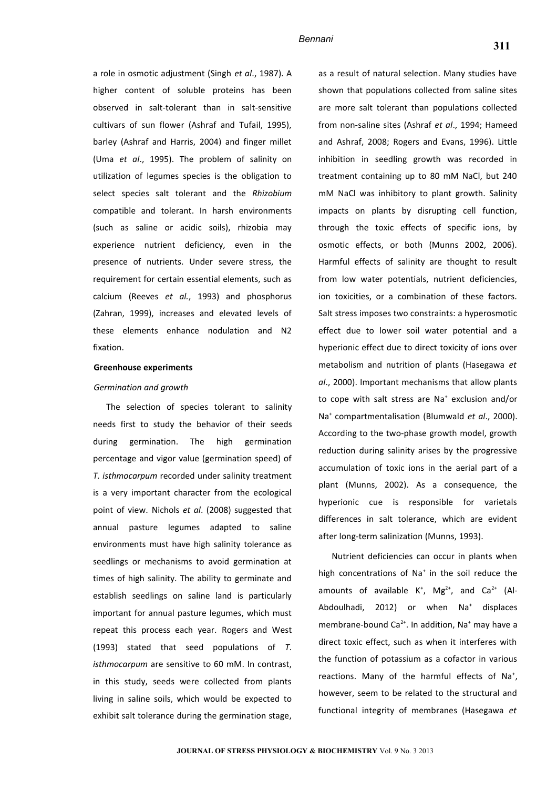a role in osmotic adjustment (Singh *et al*., 1987). A higher content of soluble proteins has been observed in salt-tolerant than in salt-sensitive cultivars of sun flower (Ashraf and Tufail, 1995), barley (Ashraf and Harris, 2004) and finger millet (Uma *et al*., 1995). The problem of salinity on utilization of legumes species is the obligation to select species salt tolerant and the *Rhizobium* compatible and tolerant. In harsh environments (such as saline or acidic soils), rhizobia may experience nutrient deficiency, even in the presence of nutrients. Under severe stress, the requirement for certain essential elements, such as calcium (Reeves *et al.*, 1993) and phosphorus (Zahran, 1999), increases and elevated levels of these elements enhance nodulation and N2 fixation.

#### **Greenhouse experiments**

#### *Germination and growth*

The selection of species tolerant to salinity needs first to study the behavior of their seeds during germination. The high germination percentage and vigor value (germination speed) of *T. isthmocarpum* recorded under salinity treatment is a very important character from the ecological point of view. Nichols *et al*. (2008) suggested that annual pasture legumes adapted to saline environments must have high salinity tolerance as seedlings or mechanisms to avoid germination at times of high salinity. The ability to germinate and establish seedlings on saline land is particularly important for annual pasture legumes, which must repeat this process each year. Rogers and West (1993) stated that seed populations of *T. isthmocarpum* are sensitive to 60 mM. In contrast, in this study, seeds were collected from plants living in saline soils, which would be expected to exhibit salt tolerance during the germination stage,

as a result of natural selection. Many studies have shown that populations collected from saline sites are more salt tolerant than populations collected from non-saline sites (Ashraf *et al*., 1994; Hameed and Ashraf, 2008; Rogers and Evans, 1996). Little inhibition in seedling growth was recorded in treatment containing up to 80 mM NaCl, but 240 mM NaCl was inhibitory to plant growth. Salinity impacts on plants by disrupting cell function, through the toxic effects of specific ions, by osmotic effects, or both (Munns 2002, 2006). Harmful effects of salinity are thought to result from low water potentials, nutrient deficiencies, ion toxicities, or a combination of these factors. Salt stress imposes two constraints: a hyperosmotic effect due to lower soil water potential and a hyperionic effect due to direct toxicity of ions over metabolism and nutrition of plants (Hasegawa *et al*., 2000). Important mechanisms that allow plants to cope with salt stress are Na<sup>+</sup> exclusion and/or Na<sup>+</sup> compartmentalisation (Blumwald *et al*., 2000). According to the two-phase growth model, growth reduction during salinity arises by the progressive accumulation of toxic ions in the aerial part of a plant (Munns, 2002). As a consequence, the hyperionic cue is responsible for varietals differences in salt tolerance, which are evident after long-term salinization (Munns, 1993).

Nutrient deficiencies can occur in plants when high concentrations of Na $^*$  in the soil reduce the amounts of available  $K^+$ , Mg<sup>2+</sup>, and Ca<sup>2+</sup> (Al-Abdoulhadi, 2012) or when Na<sup>+</sup> displaces membrane-bound Ca<sup>2+</sup>. In addition, Na<sup>+</sup> may have a direct toxic effect, such as when it interferes with the function of potassium as a cofactor in various reactions. Many of the harmful effects of Na<sup>+</sup>, however, seem to be related to the structural and functional integrity of membranes (Hasegawa *et*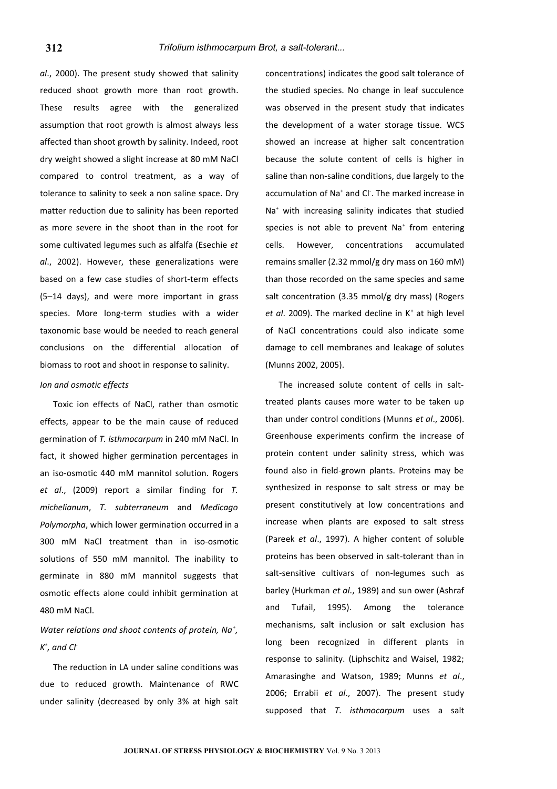*al*., 2000). The present study showed that salinity reduced shoot growth more than root growth. These results agree with the generalized assumption that root growth is almost always less affected than shoot growth by salinity. Indeed, root dry weight showed a slight increase at 80 mM NaCl compared to control treatment, as a way of tolerance to salinity to seek a non saline space. Dry matter reduction due to salinity has been reported as more severe in the shoot than in the root for some cultivated legumes such as alfalfa (Esechie *et al*., 2002). However, these generalizations were based on a few case studies of short-term effects (5–14 days), and were more important in grass species. More long-term studies with a wider taxonomic base would be needed to reach general conclusions on the differential allocation of biomass to root and shoot in response to salinity.

## *Ion and osmotic effects*

Toxic ion effects of NaCl, rather than osmotic effects, appear to be the main cause of reduced germination of *T. isthmocarpum* in 240 mM NaCl. In fact, it showed higher germination percentages in an iso-osmotic 440 mM mannitol solution. Rogers *et al*., (2009) report a similar finding for *T. michelianum*, *T. subterraneum* and *Medicago Polymorpha*, which lower germination occurred in a 300 mM NaCl treatment than in iso-osmotic solutions of 550 mM mannitol. The inability to germinate in 880 mM mannitol suggests that osmotic effects alone could inhibit germination at 480 mM NaCl.

# *Water relations and shoot contents of protein, Na<sup>+</sup> , K + , and Cl-*

The reduction in LA under saline conditions was due to reduced growth. Maintenance of RWC under salinity (decreased by only 3% at high salt

concentrations) indicates the good salt tolerance of the studied species. No change in leaf succulence was observed in the present study that indicates the development of a water storage tissue. WCS showed an increase at higher salt concentration because the solute content of cells is higher in saline than non-saline conditions, due largely to the accumulation of Na<sup>+</sup> and Cl<sup>-</sup>. The marked increase in Na<sup>+</sup> with increasing salinity indicates that studied species is not able to prevent  $Na<sup>+</sup>$  from entering cells. However, concentrations accumulated remains smaller (2.32 mmol/g dry mass on 160 mM) than those recorded on the same species and same salt concentration (3.35 mmol/g dry mass) (Rogers et al. 2009). The marked decline in K<sup>+</sup> at high level of NaCl concentrations could also indicate some damage to cell membranes and leakage of solutes (Munns 2002, 2005).

The increased solute content of cells in salttreated plants causes more water to be taken up than under control conditions (Munns *et al*., 2006). Greenhouse experiments confirm the increase of protein content under salinity stress, which was found also in field-grown plants. Proteins may be synthesized in response to salt stress or may be present constitutively at low concentrations and increase when plants are exposed to salt stress (Pareek *et al*., 1997). A higher content of soluble proteins has been observed in salt-tolerant than in salt-sensitive cultivars of non-legumes such as barley (Hurkman *et al*., 1989) and sun ower (Ashraf and Tufail, 1995). Among the tolerance mechanisms, salt inclusion or salt exclusion has long been recognized in different plants in response to salinity. (Liphschitz and Waisel, 1982; Amarasinghe and Watson, 1989; Munns *et al*., 2006; Errabii *et al*., 2007). The present study supposed that *T. isthmocarpum* uses a salt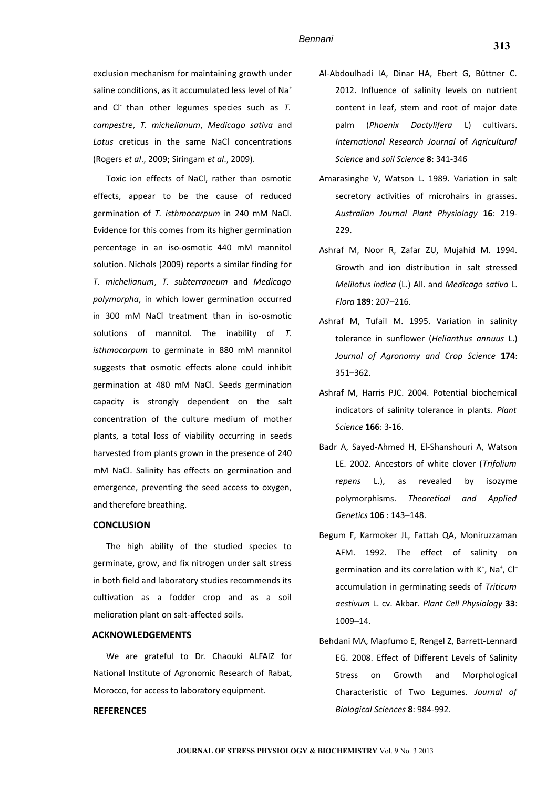exclusion mechanism for maintaining growth under saline conditions, as it accumulated less level of Na<sup>+</sup> and Cl- than other legumes species such as *T. campestre*, *T. michelianum*, *Medicago sativa* and *Lotus* creticus in the same NaCl concentrations (Rogers *et al*., 2009; Siringam *et al*., 2009).

Toxic ion effects of NaCl, rather than osmotic effects, appear to be the cause of reduced germination of *T. isthmocarpum* in 240 mM NaCl. Evidence for this comes from its higher germination percentage in an iso-osmotic 440 mM mannitol solution. Nichols (2009) reports a similar finding for *T. michelianum*, *T. subterraneum* and *Medicago polymorpha*, in which lower germination occurred in 300 mM NaCl treatment than in iso-osmotic solutions of mannitol. The inability of *T. isthmocarpum* to germinate in 880 mM mannitol suggests that osmotic effects alone could inhibit germination at 480 mM NaCl. Seeds germination capacity is strongly dependent on the salt concentration of the culture medium of mother plants, a total loss of viability occurring in seeds harvested from plants grown in the presence of 240 mM NaCl. Salinity has effects on germination and emergence, preventing the seed access to oxygen, and therefore breathing.

#### **CONCLUSION**

The high ability of the studied species to germinate, grow, and fix nitrogen under salt stress in both field and laboratory studies recommends its cultivation as a fodder crop and as a soil melioration plant on salt-affected soils.

## **ACKNOWLEDGEMENTS**

We are grateful to Dr. Chaouki ALFAIZ for National Institute of Agronomic Research of Rabat, Morocco, for access to laboratory equipment.

#### **REFERENCES**

- Al-Abdoulhadi IA, Dinar HA, Ebert G, Büttner C. 2012. Influence of salinity levels on nutrient content in leaf, stem and root of major date palm (*Phoenix Dactylifera* L) cultivars. *International Research Journal* of *Agricultural Science* and *soil Science* **8**: 341-346
- Amarasinghe V, Watson L. 1989. Variation in salt secretory activities of microhairs in grasses. *Australian Journal Plant Physiology* **16**: 219- 229.
- Ashraf M, Noor R, Zafar ZU, Mujahid M. 1994. Growth and ion distribution in salt stressed *Melilotus indica* (L.) All. and *Medicago sativa* L. *Flora* **189**: 207–216.
- Ashraf M, Tufail M. 1995. Variation in salinity tolerance in sunflower (*Helianthus annuus* L.) *Journal of Agronomy and Crop Science* **174**: 351–362.
- Ashraf M, Harris PJC. 2004. Potential biochemical indicators of salinity tolerance in plants. *Plant Science* **166**: 3-16.
- Badr A, Sayed-Ahmed H, El-Shanshouri A, Watson LE. 2002. Ancestors of white clover (*Trifolium repens* L.), as revealed by isozyme polymorphisms. *Theoretical and Applied Genetics* **106** : 143–148.
- Begum F, Karmoker JL, Fattah QA, Moniruzzaman AFM. 1992. The effect of salinity on germination and its correlation with K<sup>+</sup>, Na<sup>+</sup>, Cl<sup>-</sup> accumulation in germinating seeds of *Triticum aestivum* L. cv. Akbar. *Plant Cell Physiology* **33**: 1009–14.
- Behdani MA, Mapfumo E, Rengel Z, Barrett-Lennard EG. 2008. Effect of Different Levels of Salinity Stress on Growth and Morphological Characteristic of Two Legumes. *Journal of Biological Sciences* **8**: 984-992.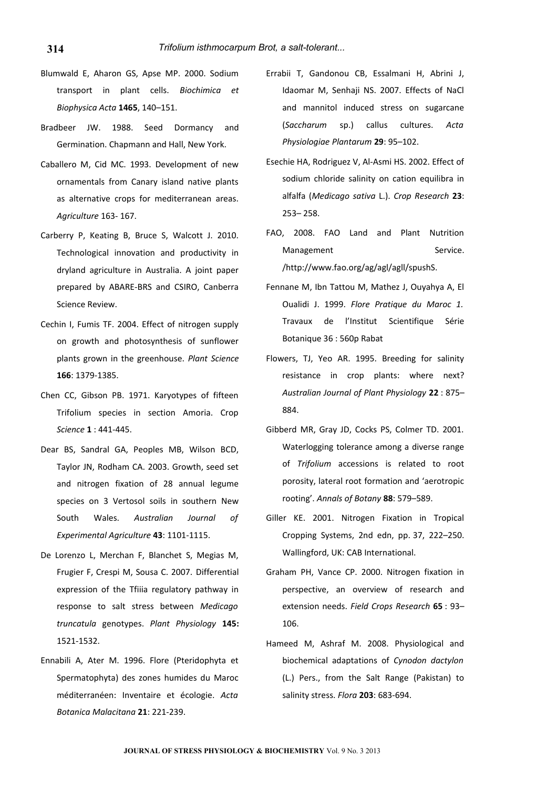- Blumwald E, Aharon GS, Apse MP. 2000. Sodium transport in plant cells. *Biochimica et Biophysica Acta* **1465**, 140–151.
- Bradbeer JW. 1988. Seed Dormancy and Germination. Chapmann and Hall, New York.
- Caballero M, Cid MC. 1993. Development of new ornamentals from Canary island native plants as alternative crops for mediterranean areas. *Agriculture* 163- 167.
- Carberry P, Keating B, Bruce S, Walcott J. 2010. Technological innovation and productivity in dryland agriculture in Australia. A joint paper prepared by ABARE-BRS and CSIRO, Canberra Science Review.
- Cechin I, Fumis TF. 2004. Effect of nitrogen supply on growth and photosynthesis of sunflower plants grown in the greenhouse. *Plant Science* **166**: 1379-1385.
- Chen CC, Gibson PB. 1971. Karyotypes of fifteen Trifolium species in section Amoria. Crop *Science* **1** : 441-445.
- Dear BS, Sandral GA, Peoples MB, Wilson BCD, Taylor JN, Rodham CA. 2003. Growth, seed set and nitrogen fixation of 28 annual legume species on 3 Vertosol soils in southern New South Wales. *Australian Journal of Experimental Agriculture* **43**: 1101-1115.
- De Lorenzo L, Merchan F, Blanchet S, Megias M, Frugier F, Crespi M, Sousa C. 2007. Differential expression of the Tfiiia regulatory pathway in response to salt stress between *Medicago truncatula* genotypes. *Plant Physiology* **145:** 1521-1532.
- Ennabili A, Ater M. 1996. Flore (Pteridophyta et Spermatophyta) des zones humides du Maroc méditerranéen: Inventaire et écologie. *Acta Botanica Malacitana* **21**: 221-239.
- Errabii T, Gandonou CB, Essalmani H, Abrini J, Idaomar M, Senhaji NS. 2007. Effects of NaCl and mannitol induced stress on sugarcane (*Saccharum* sp.) callus cultures. *Acta Physiologiae Plantarum* **29**: 95–102.
- Esechie HA, Rodriguez V, Al-Asmi HS. 2002. Effect of sodium chloride salinity on cation equilibra in alfalfa (*Medicago sativa* L.). *Crop Research* **23**: 253– 258.
- FAO, 2008. FAO Land and Plant Nutrition Management Service. /http://www.fao.org/ag/agl/agll/spushS.
- Fennane M, Ibn Tattou M, Mathez J, Ouyahya A, El Oualidi J. 1999. *Flore Pratique du Maroc 1.* Travaux de l'Institut Scientifique Série Botanique 36 : 560p Rabat
- Flowers, TJ, Yeo AR. 1995. Breeding for salinity resistance in crop plants: where next? *Australian Journal of Plant Physiology* **22** : 875– 884.
- Gibberd MR, Gray JD, Cocks PS, Colmer TD. 2001. Waterlogging tolerance among a diverse range of *Trifolium* accessions is related to root porosity, lateral root formation and 'aerotropic rooting'. *Annals of Botany* **88**: 579–589.
- Giller KE. 2001. Nitrogen Fixation in Tropical Cropping Systems, 2nd edn, pp. 37, 222–250. Wallingford, UK: CAB International.
- Graham PH, Vance CP. 2000. Nitrogen fixation in perspective, an overview of research and extension needs. *Field Crops Research* **65** : 93– 106.
- Hameed M, Ashraf M. 2008. Physiological and biochemical adaptations of *Cynodon dactylon* (L.) Pers., from the Salt Range (Pakistan) to salinity stress. *Flora* **203**: 683-694.

**314**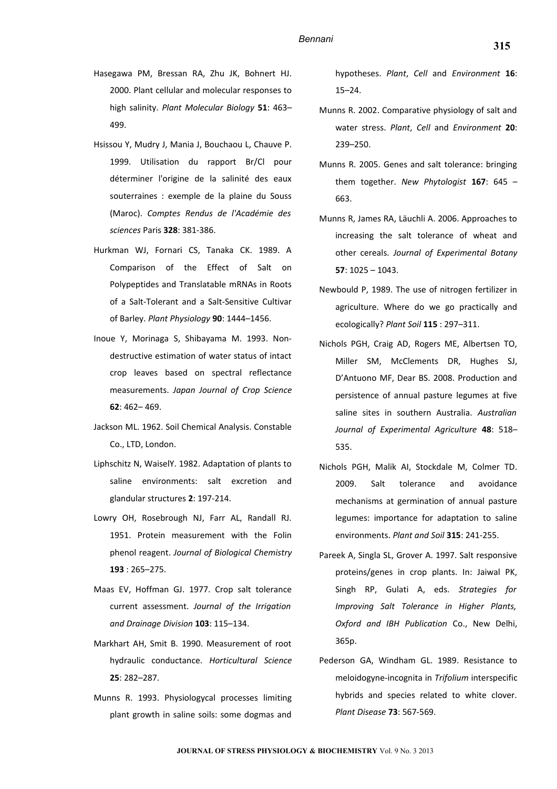- Hasegawa PM, Bressan RA, Zhu JK, Bohnert HJ. 2000. Plant cellular and molecular responses to high salinity. *Plant Molecular Biology* **51**: 463– 499.
- Hsissou Y, Mudry J, Mania J, Bouchaou L, Chauve P. 1999. Utilisation du rapport Br/Cl pour déterminer l'origine de la salinité des eaux souterraines : exemple de la plaine du Souss (Maroc). *Comptes Rendus de l'Académie des sciences* Paris **328**: 381-386.
- Hurkman WJ, Fornari CS, Tanaka CK. 1989. A Comparison of the Effect of Salt on Polypeptides and Translatable mRNAs in Roots of a Salt-Tolerant and a Salt-Sensitive Cultivar of Barley. *Plant Physiology* **90**: 1444–1456.
- Inoue Y, Morinaga S, Shibayama M. 1993. Nondestructive estimation of water status of intact crop leaves based on spectral reflectance measurements. *Japan Journal of Crop Science* **62**: 462– 469.
- Jackson ML. 1962. Soil Chemical Analysis. Constable Co., LTD, London.
- Liphschitz N, WaiselY. 1982. Adaptation of plants to saline environments: salt excretion and glandular structures **2**: 197-214.
- Lowry OH, Rosebrough NJ, Farr AL, Randall RJ. 1951. Protein measurement with the Folin phenol reagent. *Journal of Biological Chemistry* **193** : 265–275.
- Maas EV, Hoffman GJ. 1977. Crop salt tolerance current assessment. *Journal of the Irrigation and Drainage Division* **103**: 115–134.
- Markhart AH, Smit B. 1990. Measurement of root hydraulic conductance. *Horticultural Science* **25**: 282–287.
- Munns R. 1993. Physiologycal processes limiting plant growth in saline soils: some dogmas and

hypotheses. *Plant*, *Cell* and *Environment* **16**: 15–24.

- Munns R. 2002. Comparative physiology of salt and water stress. *Plant*, *Cell* and *Environment* **20**: 239–250.
- Munns R. 2005. Genes and salt tolerance: bringing them together. *New Phytologist* **167**: 645 – 663.
- Munns R, James RA, Läuchli A. 2006. Approaches to increasing the salt tolerance of wheat and other cereals. *Journal of Experimental Botany* **57**: 1025 – 1043.
- Newbould P, 1989. The use of nitrogen fertilizer in agriculture. Where do we go practically and ecologically? *Plant Soil* **115** : 297–311.
- Nichols PGH, Craig AD, Rogers ME, Albertsen TO, Miller SM, McClements DR, Hughes SJ, D'Antuono MF, Dear BS. 2008. Production and persistence of annual pasture legumes at five saline sites in southern Australia. *Australian Journal of Experimental Agriculture* **48**: 518– 535.
- Nichols PGH, Malik AI, Stockdale M, Colmer TD. 2009. Salt tolerance and avoidance mechanisms at germination of annual pasture legumes: importance for adaptation to saline environments. *Plant and Soil* **315**: 241-255.
- Pareek A, Singla SL, Grover A. 1997. Salt responsive proteins/genes in crop plants. In: Jaiwal PK, Singh RP, Gulati A, eds. *Strategies for Improving Salt Tolerance in Higher Plants, Oxford and IBH Publication* Co., New Delhi, 365p.
- Pederson GA, Windham GL. 1989. Resistance to meloidogyne-incognita in *Trifolium* interspecific hybrids and species related to white clover. *Plant Disease* **73**: 567-569.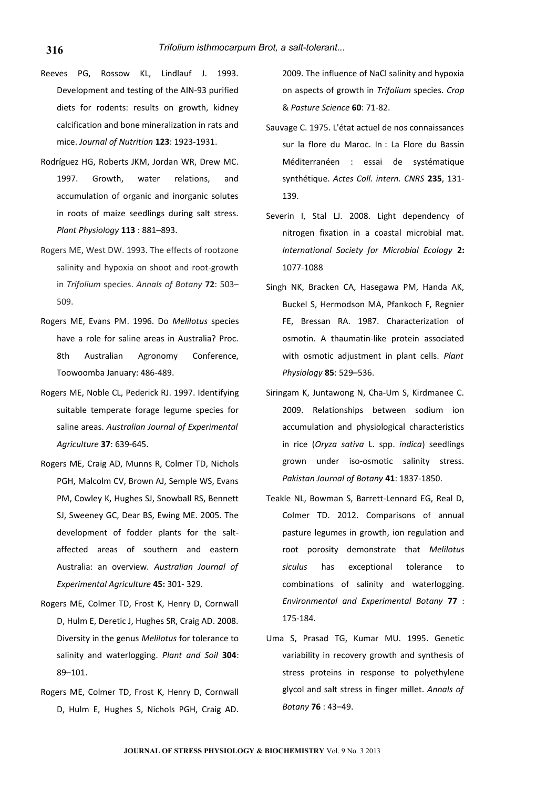- Reeves PG, Rossow KL, Lindlauf J. 1993. Development and testing of the AIN-93 purified diets for rodents: results on growth, kidney calcification and bone mineralization in rats and mice. *Journal of Nutrition* **123**: 1923-1931.
- Rodríguez HG, Roberts JKM, Jordan WR, Drew MC. 1997. Growth, water relations, and accumulation of organic and inorganic solutes in roots of maize seedlings during salt stress. *Plant Physiology* **113** : 881–893.
- Rogers ME, West DW. 1993. The effects of rootzone salinity and hypoxia on shoot and root-growth in *Trifolium* species. *Annals of Botany* **72**: 503– 509.
- Rogers ME, Evans PM. 1996. Do *Melilotus* species have a role for saline areas in Australia? Proc. 8th Australian Agronomy Conference, Toowoomba January: 486-489.
- Rogers ME, Noble CL, Pederick RJ. 1997. Identifying suitable temperate forage legume species for saline areas. *Australian Journal of Experimental Agriculture* **37**: 639-645.
- Rogers ME, Craig AD, Munns R, Colmer TD, Nichols PGH, Malcolm CV, Brown AJ, Semple WS, Evans PM, Cowley K, Hughes SJ, Snowball RS, Bennett SJ, Sweeney GC, Dear BS, Ewing ME. 2005. The development of fodder plants for the saltaffected areas of southern and eastern Australia: an overview. *Australian Journal of Experimental Agriculture* **45:** 301- 329.
- Rogers ME, Colmer TD, Frost K, Henry D, Cornwall D, Hulm E, Deretic J, Hughes SR, Craig AD. 2008. Diversity in the genus *Melilotus* for tolerance to salinity and waterlogging. *Plant and Soil* **304**: 89–101.
- Rogers ME, Colmer TD, Frost K, Henry D, Cornwall D, Hulm E, Hughes S, Nichols PGH, Craig AD.

2009. The influence of NaCl salinity and hypoxia on aspects of growth in *Trifolium* species. *Crop* & *Pasture Science* **60**: 71-82.

- Sauvage C. 1975. L'état actuel de nos connaissances sur la flore du Maroc. In : La Flore du Bassin Méditerranéen : essai de systématique synthétique. *Actes Coll. intern. CNRS* **235**, 131- 139.
- Severin I, Stal LJ. 2008. Light dependency of nitrogen fixation in a coastal microbial mat. *International Society for Microbial Ecology* **2:** 1077-1088
- Singh NK, Bracken CA, Hasegawa PM, Handa AK, Buckel S, Hermodson MA, Pfankoch F, Regnier FE, Bressan RA. 1987. Characterization of osmotin. A thaumatin-like protein associated with osmotic adjustment in plant cells. *Plant Physiology* **85**: 529–536.
- Siringam K, Juntawong N, Cha-Um S, Kirdmanee C. 2009. Relationships between sodium ion accumulation and physiological characteristics in rice (*Oryza sativa* L. spp. *indica*) seedlings grown under iso-osmotic salinity stress. *Pakistan Journal of Botany* **41**: 1837-1850.
- Teakle NL, Bowman S, Barrett-Lennard EG, Real D, Colmer TD. 2012. Comparisons of annual pasture legumes in growth, ion regulation and root porosity demonstrate that *Melilotus siculus* has exceptional tolerance to combinations of salinity and waterlogging. *Environmental and Experimental Botany* **77** : 175-184.
- Uma S, Prasad TG, Kumar MU. 1995. Genetic variability in recovery growth and synthesis of stress proteins in response to polyethylene glycol and salt stress in finger millet. *Annals of Botany* **76** : 43–49.